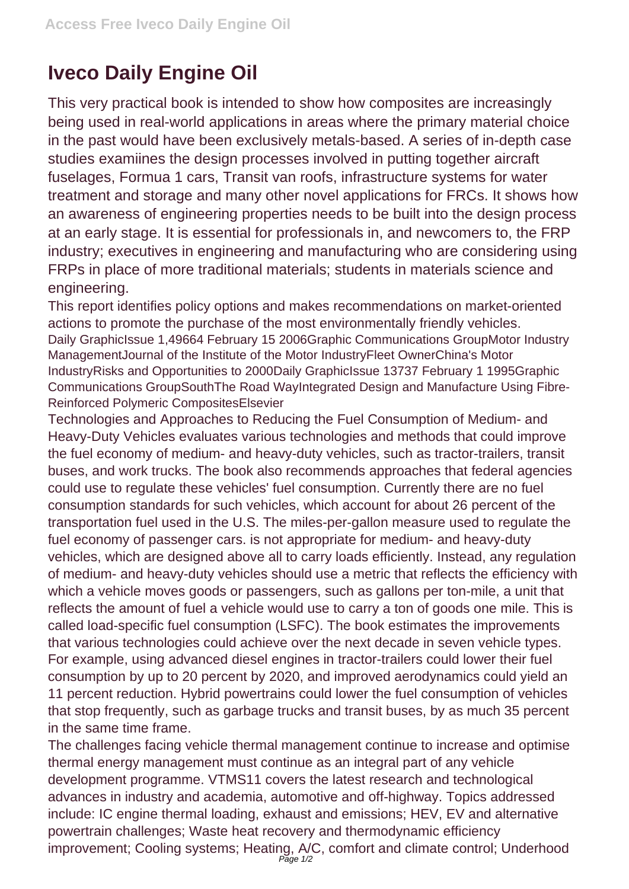## **Iveco Daily Engine Oil**

This very practical book is intended to show how composites are increasingly being used in real-world applications in areas where the primary material choice in the past would have been exclusively metals-based. A series of in-depth case studies examiines the design processes involved in putting together aircraft fuselages, Formua 1 cars, Transit van roofs, infrastructure systems for water treatment and storage and many other novel applications for FRCs. It shows how an awareness of engineering properties needs to be built into the design process at an early stage. It is essential for professionals in, and newcomers to, the FRP industry; executives in engineering and manufacturing who are considering using FRPs in place of more traditional materials; students in materials science and engineering.

This report identifies policy options and makes recommendations on market-oriented actions to promote the purchase of the most environmentally friendly vehicles. Daily GraphicIssue 1,49664 February 15 2006Graphic Communications GroupMotor Industry ManagementJournal of the Institute of the Motor IndustryFleet OwnerChina's Motor IndustryRisks and Opportunities to 2000Daily GraphicIssue 13737 February 1 1995Graphic Communications GroupSouthThe Road WayIntegrated Design and Manufacture Using Fibre-Reinforced Polymeric CompositesElsevier

Technologies and Approaches to Reducing the Fuel Consumption of Medium- and Heavy-Duty Vehicles evaluates various technologies and methods that could improve the fuel economy of medium- and heavy-duty vehicles, such as tractor-trailers, transit buses, and work trucks. The book also recommends approaches that federal agencies could use to regulate these vehicles' fuel consumption. Currently there are no fuel consumption standards for such vehicles, which account for about 26 percent of the transportation fuel used in the U.S. The miles-per-gallon measure used to regulate the fuel economy of passenger cars. is not appropriate for medium- and heavy-duty vehicles, which are designed above all to carry loads efficiently. Instead, any regulation of medium- and heavy-duty vehicles should use a metric that reflects the efficiency with which a vehicle moves goods or passengers, such as gallons per ton-mile, a unit that reflects the amount of fuel a vehicle would use to carry a ton of goods one mile. This is called load-specific fuel consumption (LSFC). The book estimates the improvements that various technologies could achieve over the next decade in seven vehicle types. For example, using advanced diesel engines in tractor-trailers could lower their fuel consumption by up to 20 percent by 2020, and improved aerodynamics could yield an 11 percent reduction. Hybrid powertrains could lower the fuel consumption of vehicles that stop frequently, such as garbage trucks and transit buses, by as much 35 percent in the same time frame.

The challenges facing vehicle thermal management continue to increase and optimise thermal energy management must continue as an integral part of any vehicle development programme. VTMS11 covers the latest research and technological advances in industry and academia, automotive and off-highway. Topics addressed include: IC engine thermal loading, exhaust and emissions; HEV, EV and alternative powertrain challenges; Waste heat recovery and thermodynamic efficiency improvement; Cooling systems; Heating, A/C, comfort and climate control; Underhood